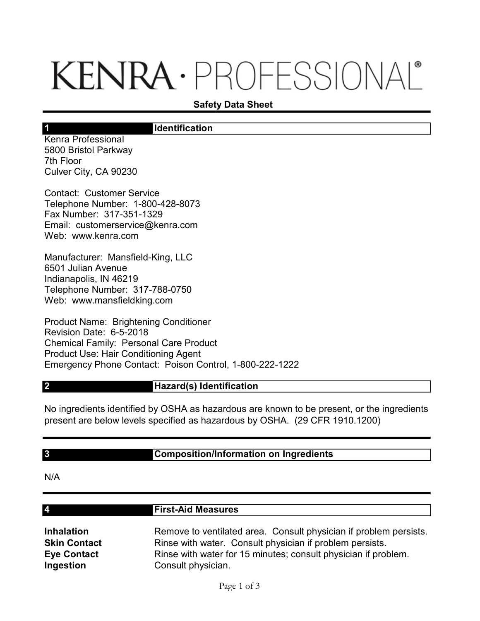# KENRA · PROFESSIONAL®

## Safety Data Sheet

## **Identification**

Kenra Professional 5800 Bristol Parkway 7th Floor Culver City, CA 90230

1

Contact: Customer Service Telephone Number: 1-800-428-8073 Fax Number: 317-351-1329 Email: customerservice@kenra.com Web: www.kenra.com

Manufacturer: Mansfield-King, LLC 6501 Julian Avenue Indianapolis, IN 46219 Telephone Number: 317-788-0750 Web: www.mansfieldking.com

Product Name: Brightening Conditioner Revision Date: 6-5-2018 Chemical Family: Personal Care Product Product Use: Hair Conditioning Agent Emergency Phone Contact: Poison Control, 1-800-222-1222

#### Hazard(s) Identification

No ingredients identified by OSHA as hazardous are known to be present, or the ingredients present are below levels specified as hazardous by OSHA. (29 CFR 1910.1200)

#### 3

2

# Composition/Information on Ingredients

N/A

4

#### First-Aid Measures

Inhalation Remove to ventilated area. Consult physician if problem persists. **Skin Contact** Rinse with water. Consult physician if problem persists. Eye Contact Rinse with water for 15 minutes; consult physician if problem. Ingestion Consult physician.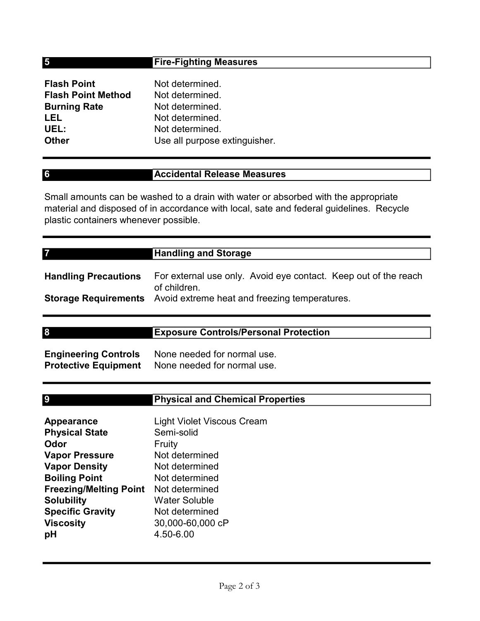# Fire-Fighting Measures

| <b>Flash Point</b>        | Not determined.               |
|---------------------------|-------------------------------|
| <b>Flash Point Method</b> | Not determined.               |
| <b>Burning Rate</b>       | Not determined.               |
| LEL                       | Not determined.               |
| UEL:                      | Not determined.               |
| <b>Other</b>              | Use all purpose extinguisher. |

# Accidental Release Measures

Small amounts can be washed to a drain with water or absorbed with the appropriate material and disposed of in accordance with local, sate and federal guidelines. Recycle plastic containers whenever possible.

| <b>Handling Precautions</b> | For external use only. Avoid eye contact. Keep out of the reach                           |
|-----------------------------|-------------------------------------------------------------------------------------------|
|                             | of children.<br><b>Storage Requirements</b> Avoid extreme heat and freezing temperatures. |

|                             | <b>Exposure Controls/Personal Protection</b> |  |
|-----------------------------|----------------------------------------------|--|
|                             |                                              |  |
| <b>Engineering Controls</b> | None needed for normal use.                  |  |
|                             |                                              |  |

| <b>Engineering Controls</b> | None needed for normal use. |
|-----------------------------|-----------------------------|
| <b>Protective Equipment</b> | None needed for normal use. |

| I<br>I |
|--------|
|        |
|        |
| ۰,     |
|        |

5

6

7

# Physical and Chemical Properties

| <b>Appearance</b>             | <b>Light Violet Viscous Cream</b> |
|-------------------------------|-----------------------------------|
| <b>Physical State</b>         | Semi-solid                        |
| Odor                          | Fruity                            |
| <b>Vapor Pressure</b>         | Not determined                    |
| <b>Vapor Density</b>          | Not determined                    |
| <b>Boiling Point</b>          | Not determined                    |
| <b>Freezing/Melting Point</b> | Not determined                    |
| <b>Solubility</b>             | <b>Water Soluble</b>              |
| <b>Specific Gravity</b>       | Not determined                    |
| <b>Viscosity</b>              | 30,000-60,000 cP                  |
| рH                            | 4.50-6.00                         |